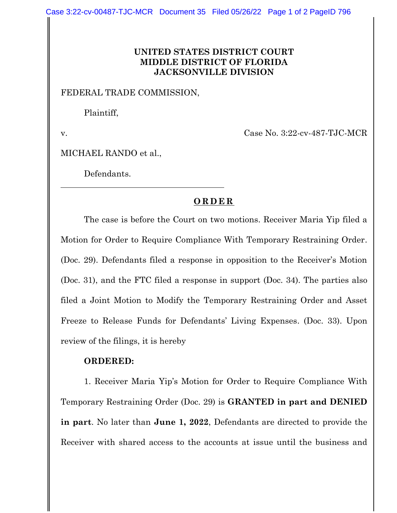## **UNITED STATES DISTRICT COURT MIDDLE DISTRICT OF FLORIDA JACKSONVILLE DIVISION**

## FEDERAL TRADE COMMISSION,

Plaintiff,

v. Case No. 3:22-cv-487-TJC-MCR

MICHAEL RANDO et al.,

Defendants.

## **ORDER**

The case is before the Court on two motions. Receiver Maria Yip filed a Motion for Order to Require Compliance With Temporary Restraining Order. (Doc. 29). Defendants filed a response in opposition to the Receiver's Motion (Doc. 31), and the FTC filed a response in support (Doc. 34). The parties also filed a Joint Motion to Modify the Temporary Restraining Order and Asset Freeze to Release Funds for Defendants' Living Expenses. (Doc. 33). Upon review of the filings, it is hereby

## **ORDERED:**

1. Receiver Maria Yip's Motion for Order to Require Compliance With Temporary Restraining Order (Doc. 29) is **GRANTED in part and DENIED in part**. No later than **June 1, 2022**, Defendants are directed to provide the Receiver with shared access to the accounts at issue until the business and